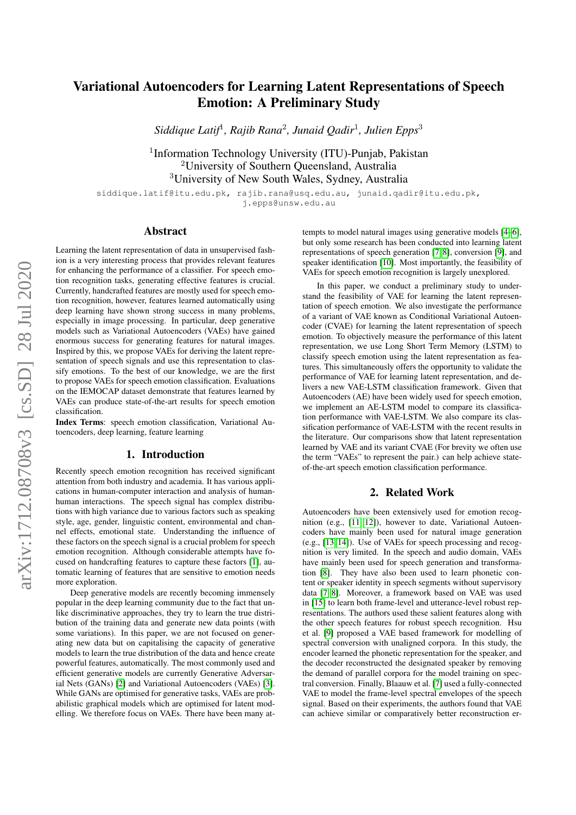# Variational Autoencoders for Learning Latent Representations of Speech Emotion: A Preliminary Study

*Siddique Latif*<sup>1</sup> *, Rajib Rana*<sup>2</sup> *, Junaid Qadir*<sup>1</sup> *, Julien Epps*<sup>3</sup>

<sup>1</sup>Information Technology University (ITU)-Punjab, Pakistan <sup>2</sup>University of Southern Queensland, Australia <sup>3</sup>University of New South Wales, Sydney, Australia

siddique.latif@itu.edu.pk, rajib.rana@usq.edu.au, junaid.qadir@itu.edu.pk, j.epps@unsw.edu.au

# Abstract

Learning the latent representation of data in unsupervised fashion is a very interesting process that provides relevant features for enhancing the performance of a classifier. For speech emotion recognition tasks, generating effective features is crucial. Currently, handcrafted features are mostly used for speech emotion recognition, however, features learned automatically using deep learning have shown strong success in many problems, especially in image processing. In particular, deep generative models such as Variational Autoencoders (VAEs) have gained enormous success for generating features for natural images. Inspired by this, we propose VAEs for deriving the latent representation of speech signals and use this representation to classify emotions. To the best of our knowledge, we are the first to propose VAEs for speech emotion classification. Evaluations on the IEMOCAP dataset demonstrate that features learned by VAEs can produce state-of-the-art results for speech emotion classification.

Index Terms: speech emotion classification, Variational Autoencoders, deep learning, feature learning

#### 1. Introduction

Recently speech emotion recognition has received significant attention from both industry and academia. It has various applications in human-computer interaction and analysis of humanhuman interactions. The speech signal has complex distributions with high variance due to various factors such as speaking style, age, gender, linguistic content, environmental and channel effects, emotional state. Understanding the influence of these factors on the speech signal is a crucial problem for speech emotion recognition. Although considerable attempts have focused on handcrafting features to capture these factors [\[1\]](#page-4-0), automatic learning of features that are sensitive to emotion needs more exploration.

Deep generative models are recently becoming immensely popular in the deep learning community due to the fact that unlike discriminative approaches, they try to learn the true distribution of the training data and generate new data points (with some variations). In this paper, we are not focused on generating new data but on capitalising the capacity of generative models to learn the true distribution of the data and hence create powerful features, automatically. The most commonly used and efficient generative models are currently Generative Adversarial Nets (GANs) [\[2\]](#page-4-1) and Variational Autoencoders (VAEs) [\[3\]](#page-4-2). While GANs are optimised for generative tasks, VAEs are probabilistic graphical models which are optimised for latent modelling. We therefore focus on VAEs. There have been many at-

tempts to model natural images using generative models [\[4](#page-4-3)[–6\]](#page-4-4), but only some research has been conducted into learning latent representations of speech generation [\[7,](#page-4-5) [8\]](#page-4-6), conversion [\[9\]](#page-4-7), and speaker identification [\[10\]](#page-4-8). Most importantly, the feasibility of VAEs for speech emotion recognition is largely unexplored.

In this paper, we conduct a preliminary study to understand the feasibility of VAE for learning the latent representation of speech emotion. We also investigate the performance of a variant of VAE known as Conditional Variational Autoencoder (CVAE) for learning the latent representation of speech emotion. To objectively measure the performance of this latent representation, we use Long Short Term Memory (LSTM) to classify speech emotion using the latent representation as features. This simultaneously offers the opportunity to validate the performance of VAE for learning latent representation, and delivers a new VAE-LSTM classification framework. Given that Autoencoders (AE) have been widely used for speech emotion, we implement an AE-LSTM model to compare its classification performance with VAE-LSTM. We also compare its classification performance of VAE-LSTM with the recent results in the literature. Our comparisons show that latent representation learned by VAE and its variant CVAE (For brevity we often use the term "VAEs" to represent the pair.) can help achieve stateof-the-art speech emotion classification performance.

# 2. Related Work

Autoencoders have been extensively used for emotion recognition (e.g., [\[11,](#page-4-9) [12\]](#page-4-10)), however to date, Variational Autoencoders have mainly been used for natural image generation (e.g., [\[13,](#page-4-11) [14\]](#page-4-12)). Use of VAEs for speech processing and recognition is very limited. In the speech and audio domain, VAEs have mainly been used for speech generation and transformation [\[8\]](#page-4-6). They have also been used to learn phonetic content or speaker identity in speech segments without supervisory data [\[7,](#page-4-5) [8\]](#page-4-6). Moreover, a framework based on VAE was used in [\[15\]](#page-4-13) to learn both frame-level and utterance-level robust representations. The authors used these salient features along with the other speech features for robust speech recognition. Hsu et al. [\[9\]](#page-4-7) proposed a VAE based framework for modelling of spectral conversion with unaligned corpora. In this study, the encoder learned the phonetic representation for the speaker, and the decoder reconstructed the designated speaker by removing the demand of parallel corpora for the model training on spectral conversion. Finally, Blaauw et al. [\[7\]](#page-4-5) used a fully-connected VAE to model the frame-level spectral envelopes of the speech signal. Based on their experiments, the authors found that VAE can achieve similar or comparatively better reconstruction er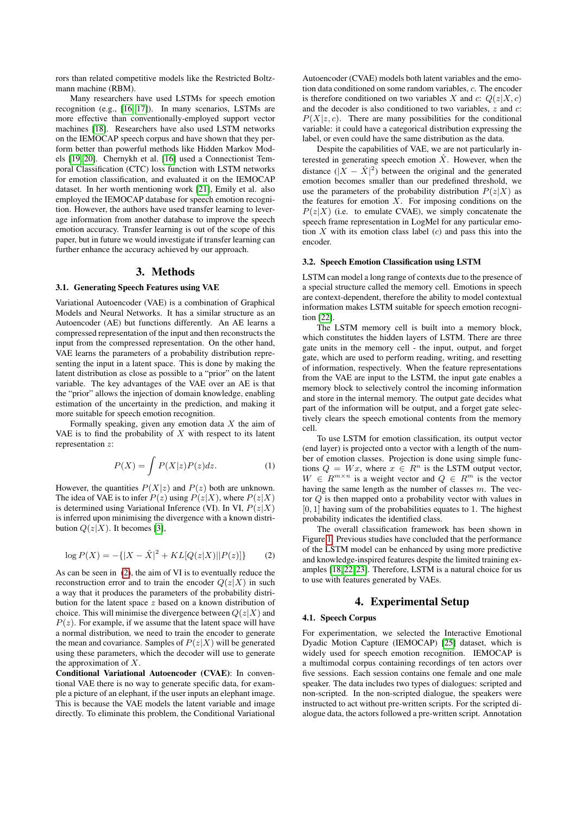rors than related competitive models like the Restricted Boltzmann machine (RBM).

Many researchers have used LSTMs for speech emotion recognition (e.g., [\[16,](#page-4-14) [17\]](#page-4-15)). In many scenarios, LSTMs are more effective than conventionally-employed support vector machines [\[18\]](#page-4-16). Researchers have also used LSTM networks on the IEMOCAP speech corpus and have shown that they perform better than powerful methods like Hidden Markov Models [\[19,](#page-4-17) [20\]](#page-4-18). Chernykh et al. [\[16\]](#page-4-14) used a Connectionist Temporal Classification (CTC) loss function with LSTM networks for emotion classification, and evaluated it on the IEMOCAP dataset. In her worth mentioning work [\[21\]](#page-4-19), Emily et al. also employed the IEMOCAP database for speech emotion recognition. However, the authors have used transfer learning to leverage information from another database to improve the speech emotion accuracy. Transfer learning is out of the scope of this paper, but in future we would investigate if transfer learning can further enhance the accuracy achieved by our approach.

# 3. Methods

#### 3.1. Generating Speech Features using VAE

Variational Autoencoder (VAE) is a combination of Graphical Models and Neural Networks. It has a similar structure as an Autoencoder (AE) but functions differently. An AE learns a compressed representation of the input and then reconstructs the input from the compressed representation. On the other hand, VAE learns the parameters of a probability distribution representing the input in a latent space. This is done by making the latent distribution as close as possible to a "prior" on the latent variable. The key advantages of the VAE over an AE is that the "prior" allows the injection of domain knowledge, enabling estimation of the uncertainty in the prediction, and making it more suitable for speech emotion recognition.

Formally speaking, given any emotion data  $X$  the aim of VAE is to find the probability of  $X$  with respect to its latent representation z:

$$
P(X) = \int P(X|z)P(z)dz.
$$
 (1)

However, the quantities  $P(X|z)$  and  $P(z)$  both are unknown. The idea of VAE is to infer  $P(z)$  using  $P(z|X)$ , where  $P(z|X)$ is determined using Variational Inference (VI). In VI,  $P(z|X)$ is inferred upon minimising the divergence with a known distribution  $Q(z|X)$ . It becomes [\[3\]](#page-4-2),

<span id="page-1-0"></span>
$$
\log P(X) = -\{|X - \hat{X}|^2 + KL[Q(z|X)||P(z)]\} \tag{2}
$$

As can be seen in [\(2\)](#page-1-0), the aim of VI is to eventually reduce the reconstruction error and to train the encoder  $Q(z|X)$  in such a way that it produces the parameters of the probability distribution for the latent space z based on a known distribution of choice. This will minimise the divergence between  $Q(z|X)$  and  $P(z)$ . For example, if we assume that the latent space will have a normal distribution, we need to train the encoder to generate the mean and covariance. Samples of  $P(z|X)$  will be generated using these parameters, which the decoder will use to generate the approximation of  $X$ .

Conditional Variational Autoencoder (CVAE): In conventional VAE there is no way to generate specific data, for example a picture of an elephant, if the user inputs an elephant image. This is because the VAE models the latent variable and image directly. To eliminate this problem, the Conditional Variational

Autoencoder (CVAE) models both latent variables and the emotion data conditioned on some random variables, c. The encoder is therefore conditioned on two variables X and c:  $Q(z|X, c)$ and the decoder is also conditioned to two variables, z and c:  $P(X|z, c)$ . There are many possibilities for the conditional variable: it could have a categorical distribution expressing the label, or even could have the same distribution as the data.

Despite the capabilities of VAE, we are not particularly interested in generating speech emotion  $\hat{X}$ . However, when the distance  $(|X - \hat{X}|^2)$  between the original and the generated emotion becomes smaller than our predefined threshold, we use the parameters of the probability distribution  $P(z|X)$  as the features for emotion  $X$ . For imposing conditions on the  $P(z|X)$  (i.e. to emulate CVAE), we simply concatenate the speech frame representation in LogMel for any particular emotion  $X$  with its emotion class label  $(c)$  and pass this into the encoder.

#### 3.2. Speech Emotion Classification using LSTM

LSTM can model a long range of contexts due to the presence of a special structure called the memory cell. Emotions in speech are context-dependent, therefore the ability to model contextual information makes LSTM suitable for speech emotion recognition [\[22\]](#page-4-20).

The LSTM memory cell is built into a memory block, which constitutes the hidden layers of LSTM. There are three gate units in the memory cell - the input, output, and forget gate, which are used to perform reading, writing, and resetting of information, respectively. When the feature representations from the VAE are input to the LSTM, the input gate enables a memory block to selectively control the incoming information and store in the internal memory. The output gate decides what part of the information will be output, and a forget gate selectively clears the speech emotional contents from the memory cell.

To use LSTM for emotion classification, its output vector (end layer) is projected onto a vector with a length of the number of emotion classes. Projection is done using simple functions  $Q = Wx$ , where  $x \in R^n$  is the LSTM output vector,  $W \in R^{m \times n}$  is a weight vector and  $Q \in R^m$  is the vector having the same length as the number of classes  $m$ . The vector Q is then mapped onto a probability vector with values in  $[0, 1]$  having sum of the probabilities equates to 1. The highest probability indicates the identified class.

The overall classification framework has been shown in Figure [1.](#page-2-0) Previous studies have concluded that the performance of the LSTM model can be enhanced by using more predictive and knowledge-inspired features despite the limited training examples [\[18,](#page-4-16) [22,](#page-4-20) [23\]](#page-4-21). Therefore, LSTM is a natural choice for us to use with features generated by VAEs.

## 4. Experimental Setup

### 4.1. Speech Corpus

For experimentation, we selected the Interactive Emotional Dyadic Motion Capture (IEMOCAP) [\[25\]](#page-4-22) dataset, which is widely used for speech emotion recognition. IEMOCAP is a multimodal corpus containing recordings of ten actors over five sessions. Each session contains one female and one male speaker. The data includes two types of dialogues: scripted and non-scripted. In the non-scripted dialogue, the speakers were instructed to act without pre-written scripts. For the scripted dialogue data, the actors followed a pre-written script. Annotation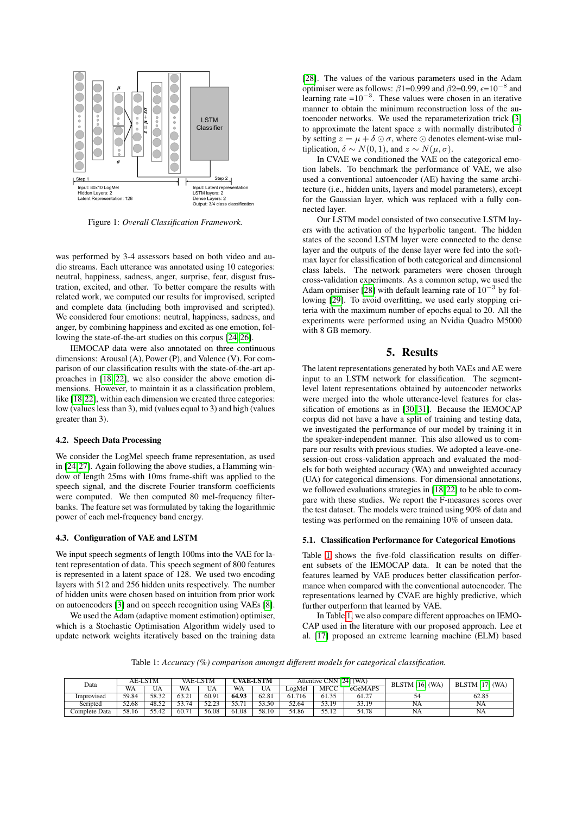<span id="page-2-0"></span>

Figure 1: *Overall Classification Framework.*

was performed by 3-4 assessors based on both video and audio streams. Each utterance was annotated using 10 categories: neutral, happiness, sadness, anger, surprise, fear, disgust frustration, excited, and other. To better compare the results with related work, we computed our results for improvised, scripted and complete data (including both improvised and scripted). We considered four emotions: neutral, happiness, sadness, and anger, by combining happiness and excited as one emotion, following the state-of-the-art studies on this corpus [\[24,](#page-4-23) [26\]](#page-4-24).

IEMOCAP data were also annotated on three continuous dimensions: Arousal (A), Power (P), and Valence (V). For comparison of our classification results with the state-of-the-art approaches in [\[18,](#page-4-16) [22\]](#page-4-20), we also consider the above emotion dimensions. However, to maintain it as a classification problem, like [\[18,](#page-4-16)[22\]](#page-4-20), within each dimension we created three categories: low (values less than 3), mid (values equal to 3) and high (values greater than 3).

## 4.2. Speech Data Processing

We consider the LogMel speech frame representation, as used in [\[24,](#page-4-23)[27\]](#page-4-25). Again following the above studies, a Hamming window of length 25ms with 10ms frame-shift was applied to the speech signal, and the discrete Fourier transform coefficients were computed. We then computed 80 mel-frequency filterbanks. The feature set was formulated by taking the logarithmic power of each mel-frequency band energy.

## 4.3. Configuration of VAE and LSTM

We input speech segments of length 100ms into the VAE for latent representation of data. This speech segment of 800 features is represented in a latent space of 128. We used two encoding layers with 512 and 256 hidden units respectively. The number of hidden units were chosen based on intuition from prior work on autoencoders [\[3\]](#page-4-2) and on speech recognition using VAEs [\[8\]](#page-4-6).

We used the Adam (adaptive moment estimation) optimiser, which is a Stochastic Optimisation Algorithm widely used to update network weights iteratively based on the training data [\[28\]](#page-4-26). The values of the various parameters used in the Adam optimiser were as follows:  $\beta$ 1=0.999 and  $\beta$ 2=0.99,  $\epsilon$ =10<sup>-8</sup> and learning rate = $10^{-3}$ . These values were chosen in an iterative manner to obtain the minimum reconstruction loss of the autoencoder networks. We used the reparameterization trick [\[3\]](#page-4-2) to approximate the latent space z with normally distributed  $\delta$ by setting  $z = \mu + \delta \odot \sigma$ , where  $\odot$  denotes element-wise multiplication,  $\delta \sim N(0, 1)$ , and  $z \sim N(\mu, \sigma)$ .

In CVAE we conditioned the VAE on the categorical emotion labels. To benchmark the performance of VAE, we also used a conventional autoencoder (AE) having the same architecture (i.e., hidden units, layers and model parameters), except for the Gaussian layer, which was replaced with a fully connected layer.

Our LSTM model consisted of two consecutive LSTM layers with the activation of the hyperbolic tangent. The hidden states of the second LSTM layer were connected to the dense layer and the outputs of the dense layer were fed into the softmax layer for classification of both categorical and dimensional class labels. The network parameters were chosen through cross-validation experiments. As a common setup, we used the Adam optimiser [\[28\]](#page-4-26) with default learning rate of  $10^{-3}$  by following [\[29\]](#page-4-27). To avoid overfitting, we used early stopping criteria with the maximum number of epochs equal to 20. All the experiments were performed using an Nvidia Quadro M5000 with 8 GB memory.

# 5. Results

The latent representations generated by both VAEs and AE were input to an LSTM network for classification. The segmentlevel latent representations obtained by autoencoder networks were merged into the whole utterance-level features for classification of emotions as in [\[30,](#page-4-28) [31\]](#page-4-29). Because the IEMOCAP corpus did not have a have a split of training and testing data, we investigated the performance of our model by training it in the speaker-independent manner. This also allowed us to compare our results with previous studies. We adopted a leave-onesession-out cross-validation approach and evaluated the models for both weighted accuracy (WA) and unweighted accuracy (UA) for categorical dimensions. For dimensional annotations, we followed evaluations strategies in [\[18,](#page-4-16)[22\]](#page-4-20) to be able to compare with these studies. We report the F-measures scores over the test dataset. The models were trained using 90% of data and testing was performed on the remaining 10% of unseen data.

#### 5.1. Classification Performance for Categorical Emotions

Table [1](#page-2-1) shows the five-fold classification results on different subsets of the IEMOCAP data. It can be noted that the features learned by VAE produces better classification performance when compared with the conventional autoencoder. The representations learned by CVAE are highly predictive, which further outperform that learned by VAE.

In Table [1,](#page-2-1) we also compare different approaches on IEMO-CAP used in the literature with our proposed approach. Lee et al. [\[17\]](#page-4-15) proposed an extreme learning machine (ELM) based

Table 1: *Accuracy (%) comparison amongst different models for categorical classification.*

<span id="page-2-1"></span>

| Data              | AE-LSTM |       | VAE-LSTM  |       | <b>TVAE-LSTM</b> |       | Attentive CNN [24] (WA) |             |         | <b>BLSTM</b> [16] (WA) | <b>BLSTM</b> [17] (WA) |
|-------------------|---------|-------|-----------|-------|------------------|-------|-------------------------|-------------|---------|------------------------|------------------------|
|                   | WA      | UΑ    | <b>WA</b> | UA    | <b>WA</b>        | UΑ    | LogMel                  | <b>MFCC</b> | eGeMAPS |                        |                        |
| <i>Improvised</i> | 59.84   | 58.32 | 63.21     | 60.91 | 64.93            | 62.81 | 716<br>61.7             | 61.35       | 61.27   | 54                     | 62.85                  |
| Scripted          | 52.68   | 48.52 | 53.74     | בר ה: | .                | 53.50 | 52.64                   | 53.19       | 53.19   | <b>NA</b>              | NA                     |
| Complete Data     | 58.16   | 55.42 | 60.71     | 56.08 | 61.08            | 58.10 | 54.86                   | 55.12       | 54.78   | NA                     | <b>NA</b>              |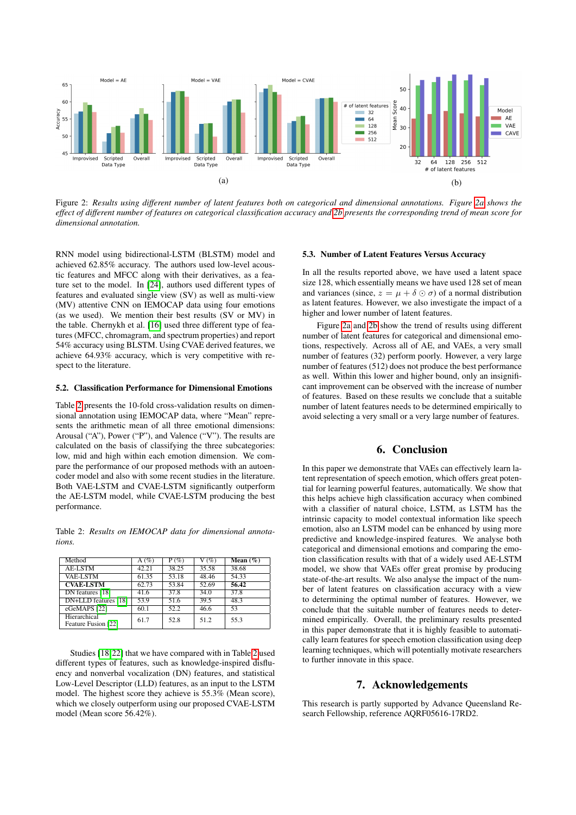<span id="page-3-0"></span>

Figure 2: *Results using different number of latent features both on categorical and dimensional annotations. Figure [2a](#page-3-0) shows the effect of different number of features on categorical classification accuracy and [2b](#page-3-0) presents the corresponding trend of mean score for dimensional annotation.*

RNN model using bidirectional-LSTM (BLSTM) model and achieved 62.85% accuracy. The authors used low-level acoustic features and MFCC along with their derivatives, as a feature set to the model. In [\[24\]](#page-4-23), authors used different types of features and evaluated single view (SV) as well as multi-view (MV) attentive CNN on IEMOCAP data using four emotions (as we used). We mention their best results (SV or MV) in the table. Chernykh et al. [\[16\]](#page-4-14) used three different type of features (MFCC, chromagram, and spectrum properties) and report 54% accuracy using BLSTM. Using CVAE derived features, we achieve 64.93% accuracy, which is very competitive with respect to the literature.

## 5.2. Classification Performance for Dimensional Emotions

Table [2](#page-3-1) presents the 10-fold cross-validation results on dimensional annotation using IEMOCAP data, where "Mean" represents the arithmetic mean of all three emotional dimensions: Arousal ("A"), Power ("P"), and Valence ("V"). The results are calculated on the basis of classifying the three subcategories: low, mid and high within each emotion dimension. We compare the performance of our proposed methods with an autoencoder model and also with some recent studies in the literature. Both VAE-LSTM and CVAE-LSTM significantly outperform the AE-LSTM model, while CVAE-LSTM producing the best performance.

<span id="page-3-1"></span>Table 2: *Results on IEMOCAP data for dimensional annotations.*

| Method                              | A $(\%)$ | $P(\%)$ | $V(\%)$ | Mean $(\%)$ |
|-------------------------------------|----------|---------|---------|-------------|
| <b>AE-LSTM</b>                      | 42.21    | 38.25   | 35.58   | 38.68       |
| <b>VAE-LSTM</b>                     | 61.35    | 53.18   | 48.46   | 54.33       |
| <b>CVAE-LSTM</b>                    | 62.73    | 53.84   | 52.69   | 56.42       |
| DN features [18]                    | 41.6     | 37.8    | 34.0    | 37.8        |
| DN+LLD features [18]                | 53.9     | 51.6    | 39.5    | 48.3        |
| eGeMAPS [22]                        | 60.1     | 52.2    | 46.6    | 53          |
| Hierarchical<br>Feature Fusion [22] | 61.7     | 52.8    | 51.2    | 55.3        |

Studies [\[18,](#page-4-16)[22\]](#page-4-20) that we have compared with in Table [2](#page-3-1) used different types of features, such as knowledge-inspired disfluency and nonverbal vocalization (DN) features, and statistical Low-Level Descriptor (LLD) features, as an input to the LSTM model. The highest score they achieve is 55.3% (Mean score), which we closely outperform using our proposed CVAE-LSTM model (Mean score 56.42%).

#### 5.3. Number of Latent Features Versus Accuracy

In all the results reported above, we have used a latent space size 128, which essentially means we have used 128 set of mean and variances (since,  $z = \mu + \delta \odot \sigma$ ) of a normal distribution as latent features. However, we also investigate the impact of a higher and lower number of latent features.

Figure [2a](#page-3-0) and [2b](#page-3-0) show the trend of results using different number of latent features for categorical and dimensional emotions, respectively. Across all of AE, and VAEs, a very small number of features (32) perform poorly. However, a very large number of features (512) does not produce the best performance as well. Within this lower and higher bound, only an insignificant improvement can be observed with the increase of number of features. Based on these results we conclude that a suitable number of latent features needs to be determined empirically to avoid selecting a very small or a very large number of features.

# 6. Conclusion

In this paper we demonstrate that VAEs can effectively learn latent representation of speech emotion, which offers great potential for learning powerful features, automatically. We show that this helps achieve high classification accuracy when combined with a classifier of natural choice, LSTM, as LSTM has the intrinsic capacity to model contextual information like speech emotion, also an LSTM model can be enhanced by using more predictive and knowledge-inspired features. We analyse both categorical and dimensional emotions and comparing the emotion classification results with that of a widely used AE-LSTM model, we show that VAEs offer great promise by producing state-of-the-art results. We also analyse the impact of the number of latent features on classification accuracy with a view to determining the optimal number of features. However, we conclude that the suitable number of features needs to determined empirically. Overall, the preliminary results presented in this paper demonstrate that it is highly feasible to automatically learn features for speech emotion classification using deep learning techniques, which will potentially motivate researchers to further innovate in this space.

# 7. Acknowledgements

This research is partly supported by Advance Queensland Research Fellowship, reference AQRF05616-17RD2.